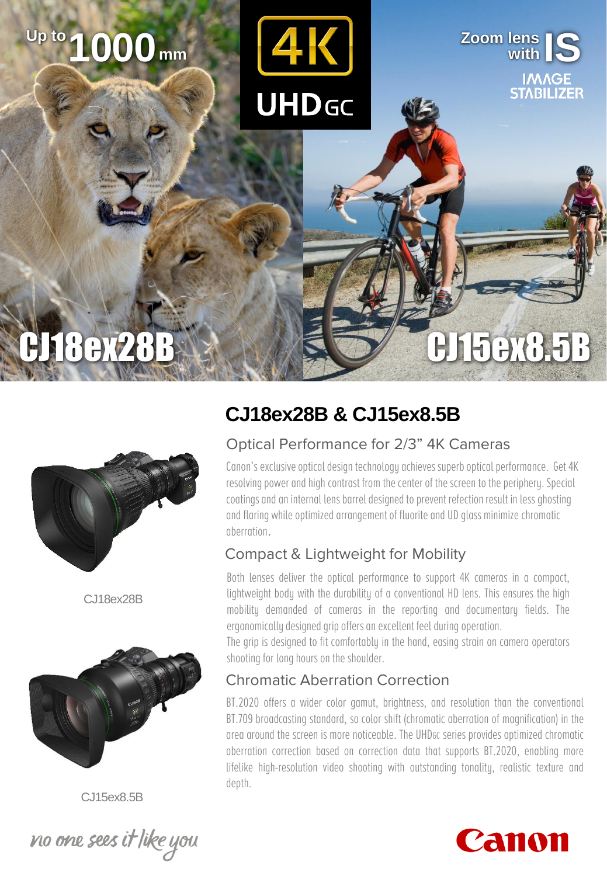# **with IS Zoom lens 1000 Up to mm**

**UHD<sub>GC</sub>** 



## CJ18ex28B & Maximid CJ15ex8.5B



C.118ex28B



CJ15ex8.5B



### **CJ18ex28B & CJ15ex8.5B**

#### Optical Performance for 2/3" 4K Cameras

Canon's exclusive optical design technology achieves superb optical performance. Get 4K resolving power and high contrast from the center of the screen to the periphery. Special coatings and an internal lens barrel designed to prevent refection result in less ghosting and flaring while optimized arrangement of fluorite and UD glass minimize chromatic aberration.

#### Compact & Lightweight for Mobility

Both lenses deliver the optical performance to support 4K cameras in a compact, lightweight body with the durability of a conventional HD lens. This ensures the high mobility demanded of cameras in the reporting and documentary fields. The ergonomically designed grip offers an excellent feel during operation.

The grip is designed to fit comfortably in the hand, easing strain on camera operators shooting for long hours on the shoulder.

#### Chromatic Aberration Correction

BT.2020 offers a wider color gamut, brightness, and resolution than the conventional BT.709 broadcasting standard, so color shift (chromatic aberration of magnification) in the area around the screen is more noticeable. The UHDGC series provides optimized chromatic aberration correction based on correction data that supports BT.2020, enabling more lifelike high-resolution video shooting with outstanding tonality, realistic texture and depth.